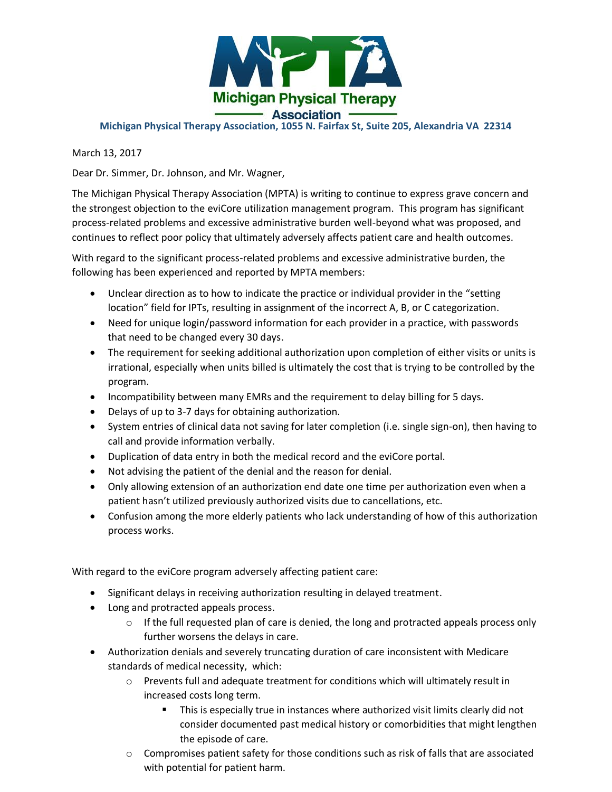

## **Michigan Physical Therapy Association, 1055 N. Fairfax St, Suite 205, Alexandria VA 22314**

March 13, 2017

Dear Dr. Simmer, Dr. Johnson, and Mr. Wagner,

The Michigan Physical Therapy Association (MPTA) is writing to continue to express grave concern and the strongest objection to the eviCore utilization management program. This program has significant process-related problems and excessive administrative burden well-beyond what was proposed, and continues to reflect poor policy that ultimately adversely affects patient care and health outcomes.

With regard to the significant process-related problems and excessive administrative burden, the following has been experienced and reported by MPTA members:

- Unclear direction as to how to indicate the practice or individual provider in the "setting location" field for IPTs, resulting in assignment of the incorrect A, B, or C categorization.
- Need for unique login/password information for each provider in a practice, with passwords that need to be changed every 30 days.
- The requirement for seeking additional authorization upon completion of either visits or units is irrational, especially when units billed is ultimately the cost that is trying to be controlled by the program.
- Incompatibility between many EMRs and the requirement to delay billing for 5 days.
- Delays of up to 3-7 days for obtaining authorization.
- System entries of clinical data not saving for later completion (i.e. single sign-on), then having to call and provide information verbally.
- Duplication of data entry in both the medical record and the eviCore portal.
- Not advising the patient of the denial and the reason for denial.
- Only allowing extension of an authorization end date one time per authorization even when a patient hasn't utilized previously authorized visits due to cancellations, etc.
- Confusion among the more elderly patients who lack understanding of how of this authorization process works.

With regard to the eviCore program adversely affecting patient care:

- Significant delays in receiving authorization resulting in delayed treatment.
- Long and protracted appeals process.
	- $\circ$  If the full requested plan of care is denied, the long and protracted appeals process only further worsens the delays in care.
- Authorization denials and severely truncating duration of care inconsistent with Medicare standards of medical necessity, which:
	- $\circ$  Prevents full and adequate treatment for conditions which will ultimately result in increased costs long term.
		- **This is especially true in instances where authorized visit limits clearly did not** consider documented past medical history or comorbidities that might lengthen the episode of care.
	- $\circ$  Compromises patient safety for those conditions such as risk of falls that are associated with potential for patient harm.